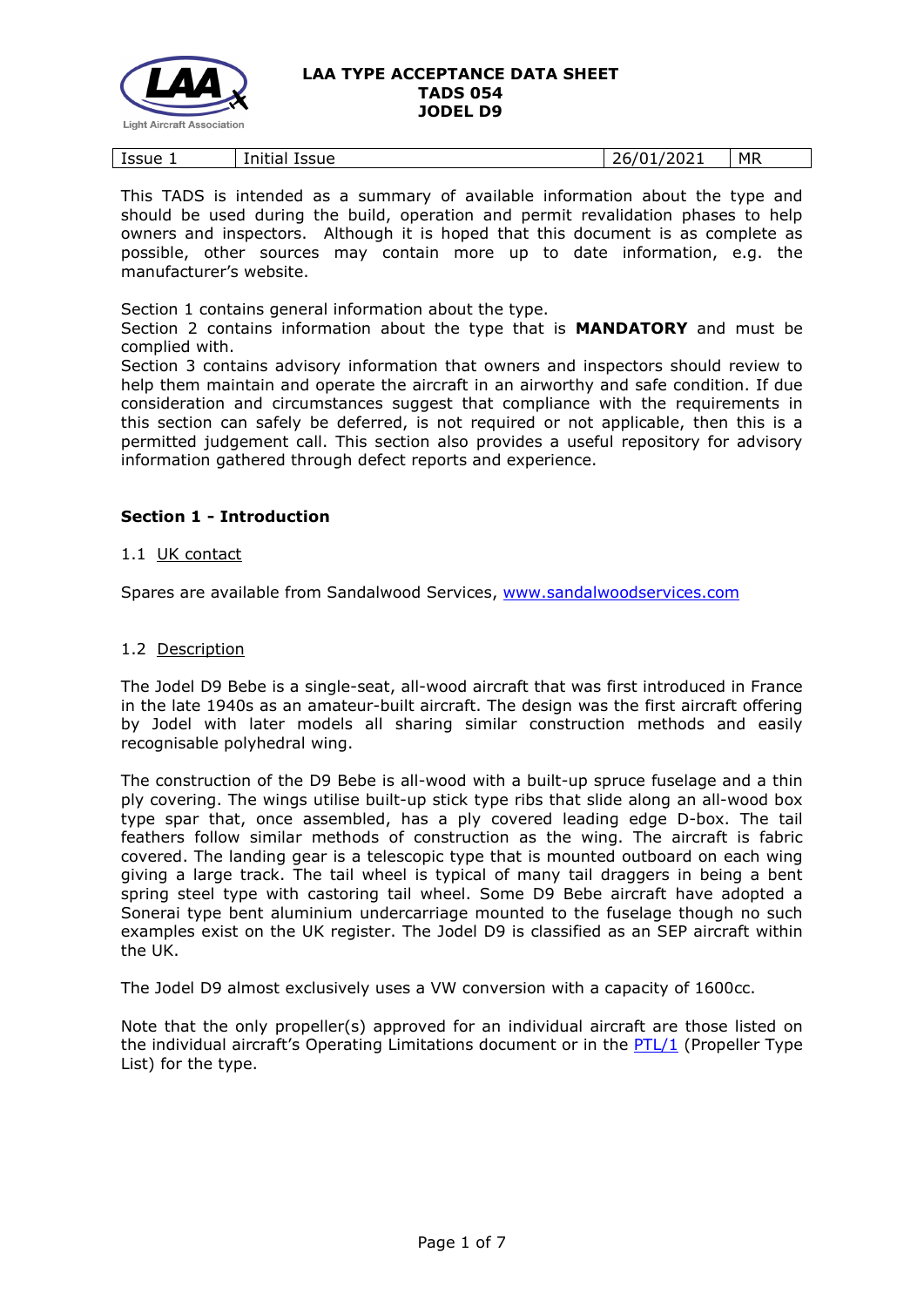

This TADS is intended as a summary of available information about the type and should be used during the build, operation and permit revalidation phases to help owners and inspectors. Although it is hoped that this document is as complete as possible, other sources may contain more up to date information, e.g. the manufacturer's website.

Section 1 contains general information about the type.

Section 2 contains information about the type that is **MANDATORY** and must be complied with.

Section 3 contains advisory information that owners and inspectors should review to help them maintain and operate the aircraft in an airworthy and safe condition. If due consideration and circumstances suggest that compliance with the requirements in this section can safely be deferred, is not required or not applicable, then this is a permitted judgement call. This section also provides a useful repository for advisory information gathered through defect reports and experience.

# **Section 1 - Introduction**

## 1.1 UK contact

Spares are available from Sandalwood Services, [www.sandalwoodservices.com](http://www.sandalwoodservices.com/)

### 1.2 Description

The Jodel D9 Bebe is a single-seat, all-wood aircraft that was first introduced in France in the late 1940s as an amateur-built aircraft. The design was the first aircraft offering by Jodel with later models all sharing similar construction methods and easily recognisable polyhedral wing.

The construction of the D9 Bebe is all-wood with a built-up spruce fuselage and a thin ply covering. The wings utilise built-up stick type ribs that slide along an all-wood box type spar that, once assembled, has a ply covered leading edge D-box. The tail feathers follow similar methods of construction as the wing. The aircraft is fabric covered. The landing gear is a telescopic type that is mounted outboard on each wing giving a large track. The tail wheel is typical of many tail draggers in being a bent spring steel type with castoring tail wheel. Some D9 Bebe aircraft have adopted a Sonerai type bent aluminium undercarriage mounted to the fuselage though no such examples exist on the UK register. The Jodel D9 is classified as an SEP aircraft within the UK.

The Jodel D9 almost exclusively uses a VW conversion with a capacity of 1600cc.

Note that the only propeller(s) approved for an individual aircraft are those listed on the individual aircraft's Operating Limitations document or in the [PTL/1](http://www.lightaircraftassociation.co.uk/engineering/NewMods/PTL.html) (Propeller Type List) for the type.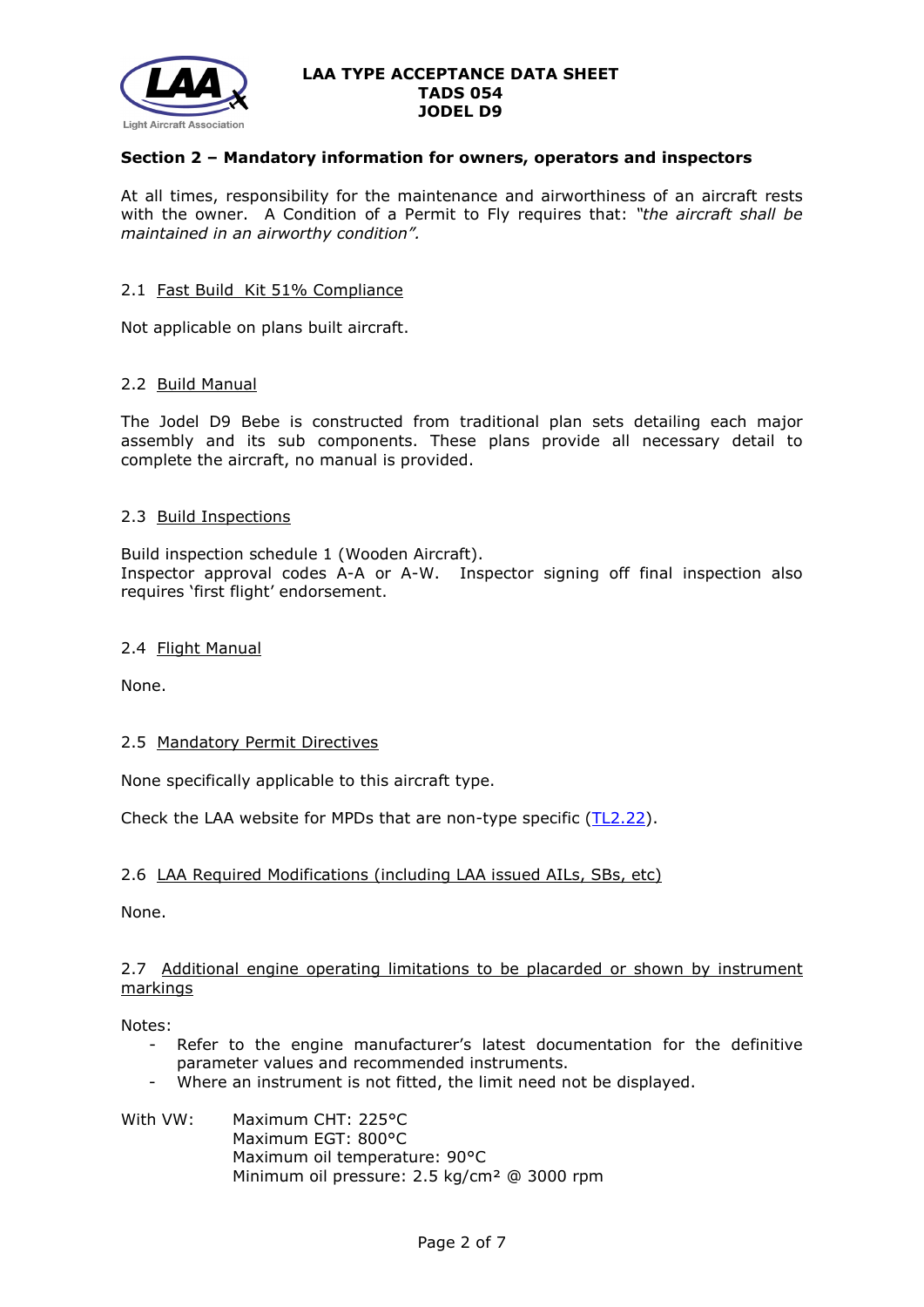

# **Section 2 – Mandatory information for owners, operators and inspectors**

At all times, responsibility for the maintenance and airworthiness of an aircraft rests with the owner. A Condition of a Permit to Fly requires that: *"the aircraft shall be maintained in an airworthy condition".* 

### 2.1 Fast Build Kit 51% Compliance

Not applicable on plans built aircraft.

### 2.2 Build Manual

The Jodel D9 Bebe is constructed from traditional plan sets detailing each major assembly and its sub components. These plans provide all necessary detail to complete the aircraft, no manual is provided.

### 2.3 Build Inspections

Build inspection schedule 1 (Wooden Aircraft). Inspector approval codes A-A or A-W. Inspector signing off final inspection also requires 'first flight' endorsement.

#### 2.4 Flight Manual

None.

## 2.5 Mandatory Permit Directives

None specifically applicable to this aircraft type.

Check the LAA website for MPDs that are non-type specific  $(TL2.22)$ .

## 2.6 LAA Required Modifications (including LAA issued AILs, SBs, etc)

None.

## 2.7 Additional engine operating limitations to be placarded or shown by instrument markings

Notes:

- Refer to the engine manufacturer's latest documentation for the definitive parameter values and recommended instruments.
- Where an instrument is not fitted, the limit need not be displayed.

### With VW: Maximum CHT: 225°C Maximum EGT: 800°C Maximum oil temperature: 90°C Minimum oil pressure: 2.5 kg/cm² @ 3000 rpm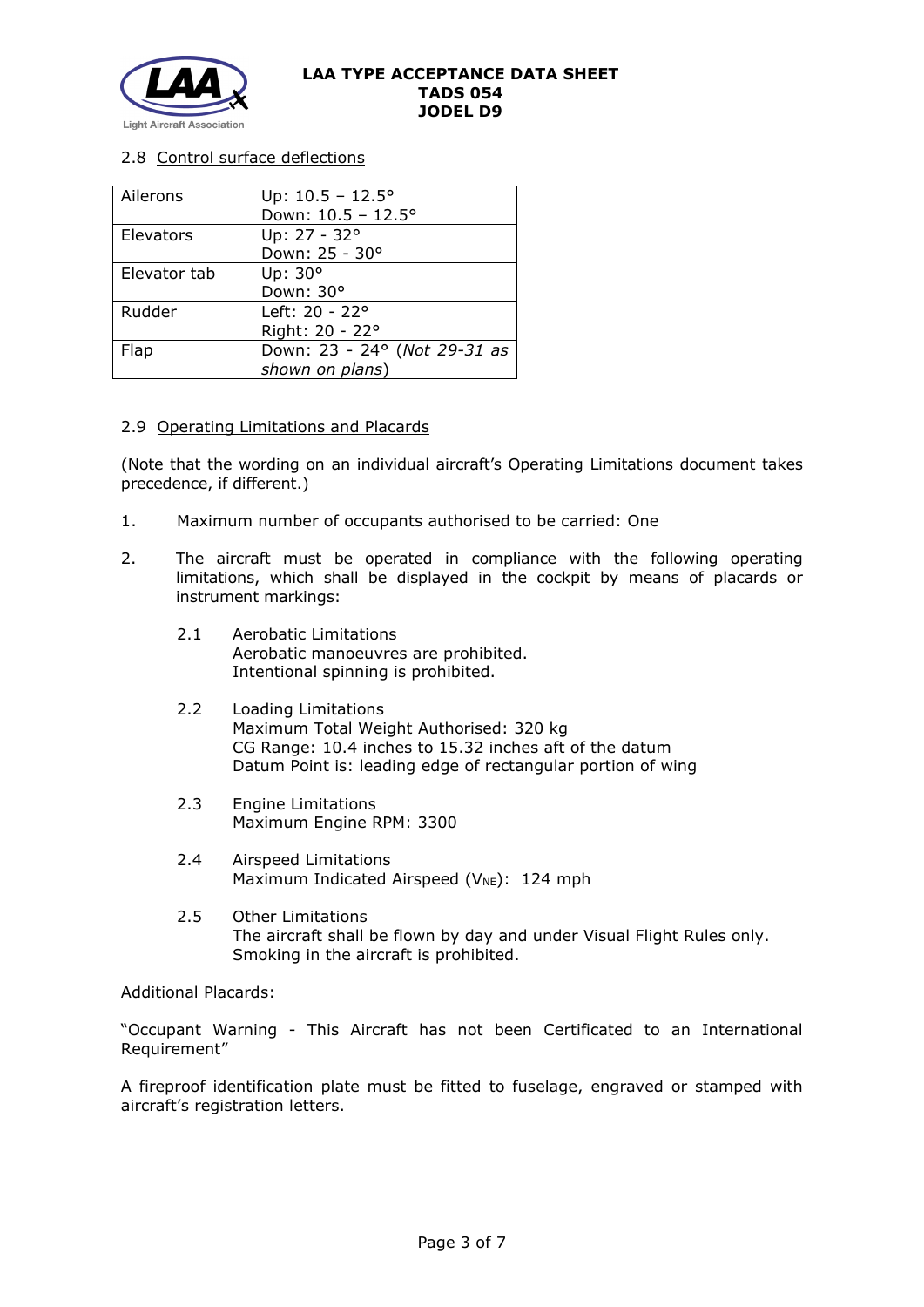

# 2.8 Control surface deflections

| Ailerons     | Up: $10.5 - 12.5^{\circ}$    |
|--------------|------------------------------|
|              | Down: 10.5 - 12.5°           |
| Elevators    | Up: 27 - 32°                 |
|              | Down: 25 - 30°               |
| Elevator tab | Up: 30°                      |
|              | Down: 30°                    |
| Rudder       | Left: 20 - 22°               |
|              | Right: 20 - 22°              |
| Flap         | Down: 23 - 24° (Not 29-31 as |
|              | shown on plans)              |

## 2.9 Operating Limitations and Placards

(Note that the wording on an individual aircraft's Operating Limitations document takes precedence, if different.)

- 1. Maximum number of occupants authorised to be carried: One
- 2. The aircraft must be operated in compliance with the following operating limitations, which shall be displayed in the cockpit by means of placards or instrument markings:
	- 2.1 Aerobatic Limitations Aerobatic manoeuvres are prohibited. Intentional spinning is prohibited.
	- 2.2 Loading Limitations Maximum Total Weight Authorised: 320 kg CG Range: 10.4 inches to 15.32 inches aft of the datum Datum Point is: leading edge of rectangular portion of wing
	- 2.3 Engine Limitations Maximum Engine RPM: 3300
	- 2.4 Airspeed Limitations Maximum Indicated Airspeed ( $V_{NE}$ ): 124 mph
	- 2.5 Other Limitations The aircraft shall be flown by day and under Visual Flight Rules only. Smoking in the aircraft is prohibited.

Additional Placards:

"Occupant Warning - This Aircraft has not been Certificated to an International Requirement"

A fireproof identification plate must be fitted to fuselage, engraved or stamped with aircraft's registration letters.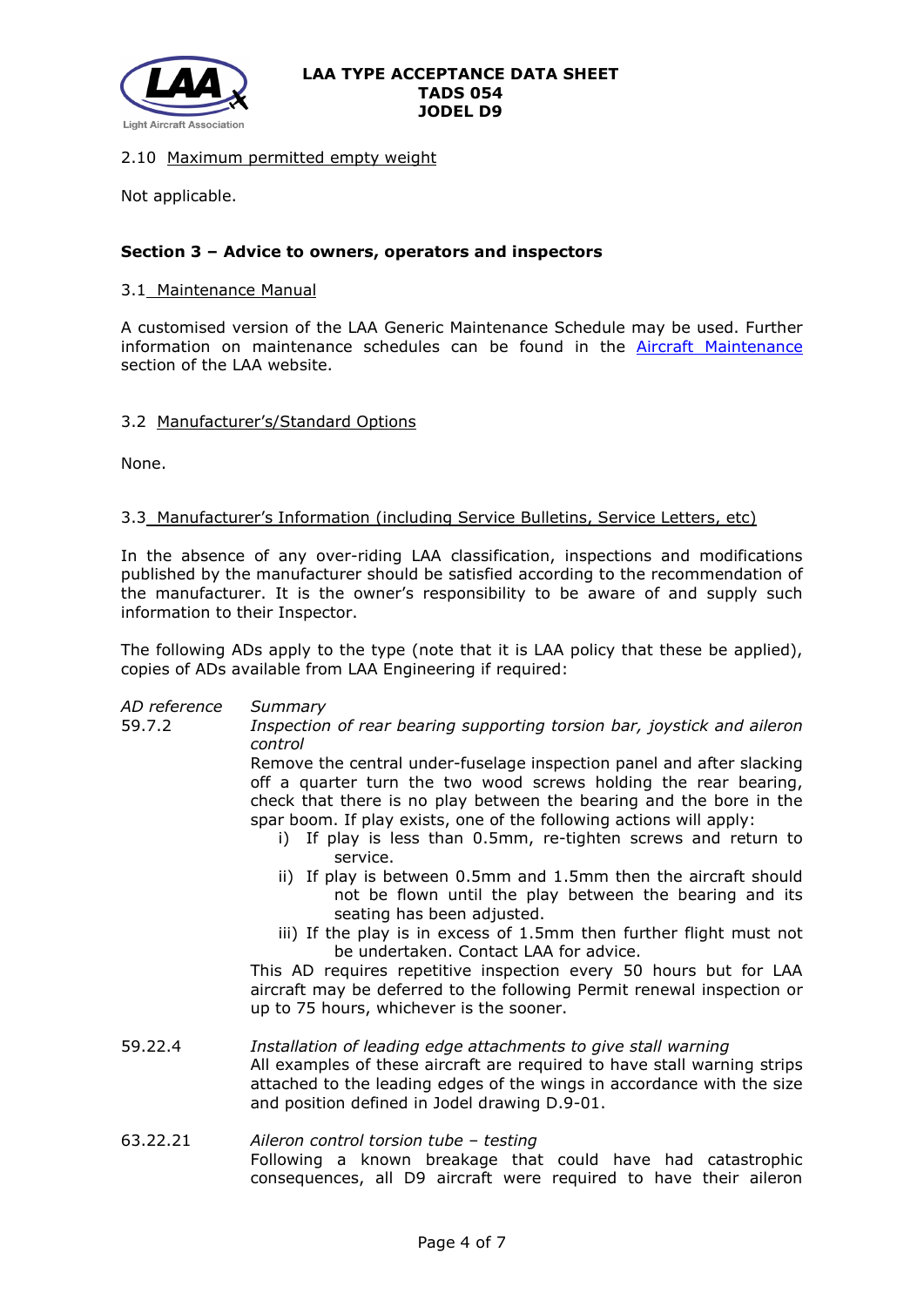

# 2.10 Maximum permitted empty weight

Not applicable.

# **Section 3 – Advice to owners, operators and inspectors**

## 3.1 Maintenance Manual

A customised version of the LAA Generic Maintenance Schedule may be used. Further information on maintenance schedules can be found in the **[Aircraft Maintenance](http://www.lightaircraftassociation.co.uk/engineering/Maintenance/Aircraft_Maintenance.html)** section of the LAA website.

### 3.2 Manufacturer's/Standard Options

None.

## 3.3 Manufacturer's Information (including Service Bulletins, Service Letters, etc)

In the absence of any over-riding LAA classification, inspections and modifications published by the manufacturer should be satisfied according to the recommendation of the manufacturer. It is the owner's responsibility to be aware of and supply such information to their Inspector.

The following ADs apply to the type (note that it is LAA policy that these be applied), copies of ADs available from LAA Engineering if required:

| AD reference | Summary                                                                                                                                                                                                                                                                                                                                                               |
|--------------|-----------------------------------------------------------------------------------------------------------------------------------------------------------------------------------------------------------------------------------------------------------------------------------------------------------------------------------------------------------------------|
| 59.7.2       | Inspection of rear bearing supporting torsion bar, joystick and aileron<br>control                                                                                                                                                                                                                                                                                    |
|              | Remove the central under-fuselage inspection panel and after slacking<br>off a quarter turn the two wood screws holding the rear bearing,<br>check that there is no play between the bearing and the bore in the<br>spar boom. If play exists, one of the following actions will apply:<br>i) If play is less than 0.5mm, re-tighten screws and return to<br>service. |
|              | ii) If play is between 0.5mm and 1.5mm then the aircraft should<br>not be flown until the play between the bearing and its<br>seating has been adjusted.                                                                                                                                                                                                              |
|              | iii) If the play is in excess of 1.5mm then further flight must not<br>be undertaken. Contact LAA for advice.                                                                                                                                                                                                                                                         |
|              | This AD requires repetitive inspection every 50 hours but for LAA<br>aircraft may be deferred to the following Permit renewal inspection or<br>up to 75 hours, whichever is the sooner.                                                                                                                                                                               |
| 59.22.4      | Installation of leading edge attachments to give stall warning<br>All examples of these aircraft are required to have stall warning strips<br>attached to the leading edges of the wings in accordance with the size<br>and position defined in Jodel drawing D.9-01.                                                                                                 |
| E 2 7 7 7 1  | Aileron control torsion tube - testing                                                                                                                                                                                                                                                                                                                                |

63.22.21 *Aileron control torsion tube – testing* Following a known breakage that could have had catastrophic consequences, all D9 aircraft were required to have their aileron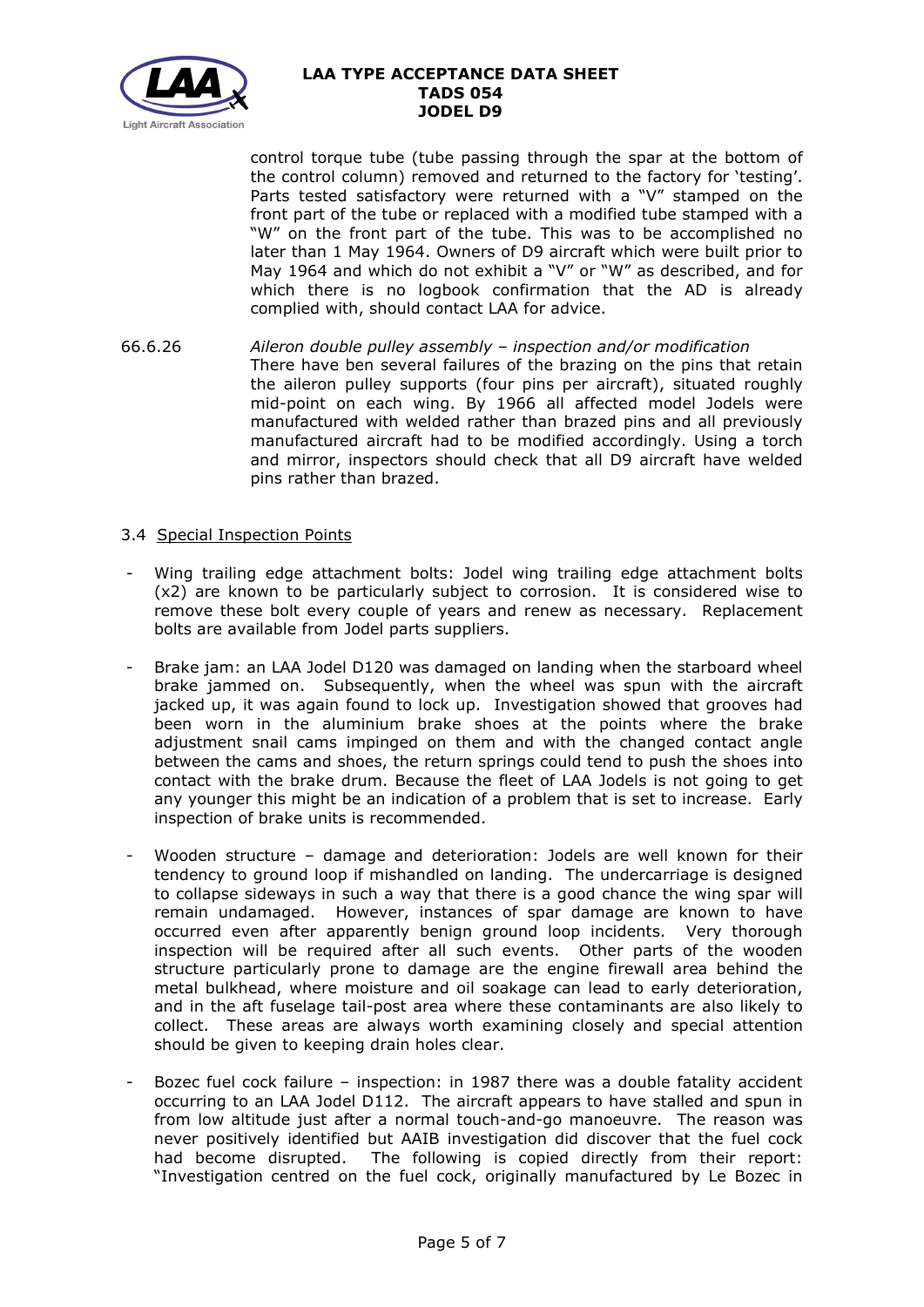

control torque tube (tube passing through the spar at the bottom of the control column) removed and returned to the factory for 'testing'. Parts tested satisfactory were returned with a "V" stamped on the front part of the tube or replaced with a modified tube stamped with a "W" on the front part of the tube. This was to be accomplished no later than 1 May 1964. Owners of D9 aircraft which were built prior to May 1964 and which do not exhibit a "V" or "W" as described, and for which there is no logbook confirmation that the AD is already complied with, should contact LAA for advice.

66.6.26 *Aileron double pulley assembly – inspection and/or modification* There have ben several failures of the brazing on the pins that retain the aileron pulley supports (four pins per aircraft), situated roughly mid-point on each wing. By 1966 all affected model Jodels were manufactured with welded rather than brazed pins and all previously manufactured aircraft had to be modified accordingly. Using a torch and mirror, inspectors should check that all D9 aircraft have welded pins rather than brazed.

# 3.4 Special Inspection Points

- Wing trailing edge attachment bolts: Jodel wing trailing edge attachment bolts (x2) are known to be particularly subject to corrosion. It is considered wise to remove these bolt every couple of years and renew as necessary. Replacement bolts are available from Jodel parts suppliers.
- Brake jam: an LAA Jodel D120 was damaged on landing when the starboard wheel brake jammed on. Subsequently, when the wheel was spun with the aircraft jacked up, it was again found to lock up. Investigation showed that grooves had been worn in the aluminium brake shoes at the points where the brake adjustment snail cams impinged on them and with the changed contact angle between the cams and shoes, the return springs could tend to push the shoes into contact with the brake drum. Because the fleet of LAA Jodels is not going to get any younger this might be an indication of a problem that is set to increase. Early inspection of brake units is recommended.
- Wooden structure damage and deterioration: Jodels are well known for their tendency to ground loop if mishandled on landing. The undercarriage is designed to collapse sideways in such a way that there is a good chance the wing spar will remain undamaged. However, instances of spar damage are known to have occurred even after apparently benign ground loop incidents. Very thorough inspection will be required after all such events. Other parts of the wooden structure particularly prone to damage are the engine firewall area behind the metal bulkhead, where moisture and oil soakage can lead to early deterioration, and in the aft fuselage tail-post area where these contaminants are also likely to collect. These areas are always worth examining closely and special attention should be given to keeping drain holes clear.
- Bozec fuel cock failure inspection: in 1987 there was a double fatality accident occurring to an LAA Jodel D112. The aircraft appears to have stalled and spun in from low altitude just after a normal touch-and-go manoeuvre. The reason was never positively identified but AAIB investigation did discover that the fuel cock had become disrupted. The following is copied directly from their report: "Investigation centred on the fuel cock, originally manufactured by Le Bozec in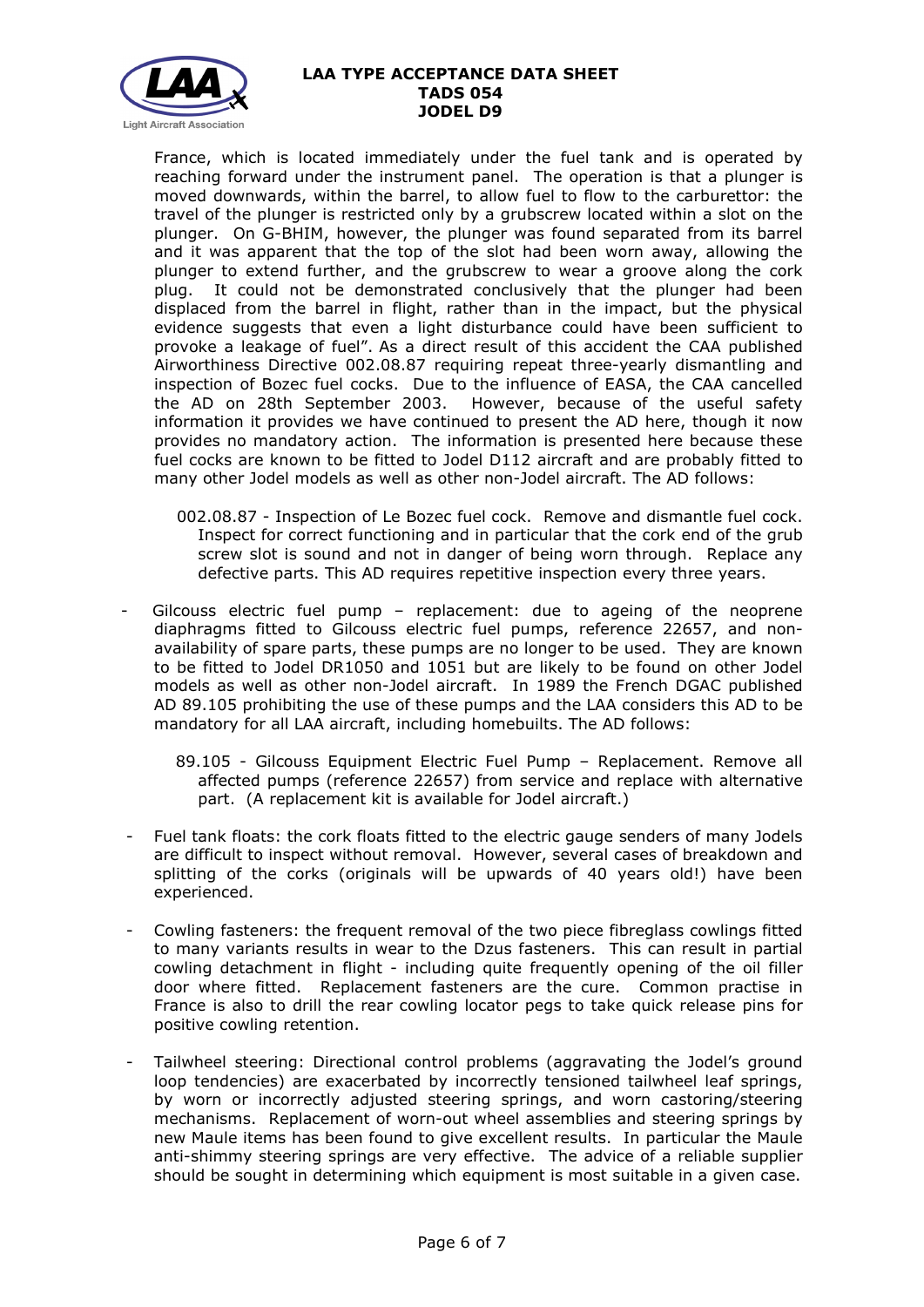

France, which is located immediately under the fuel tank and is operated by reaching forward under the instrument panel. The operation is that a plunger is moved downwards, within the barrel, to allow fuel to flow to the carburettor: the travel of the plunger is restricted only by a grubscrew located within a slot on the plunger. On G-BHIM, however, the plunger was found separated from its barrel and it was apparent that the top of the slot had been worn away, allowing the plunger to extend further, and the grubscrew to wear a groove along the cork plug. It could not be demonstrated conclusively that the plunger had been displaced from the barrel in flight, rather than in the impact, but the physical evidence suggests that even a light disturbance could have been sufficient to provoke a leakage of fuel". As a direct result of this accident the CAA published Airworthiness Directive 002.08.87 requiring repeat three-yearly dismantling and inspection of Bozec fuel cocks. Due to the influence of EASA, the CAA cancelled the AD on 28th September 2003. However, because of the useful safety information it provides we have continued to present the AD here, though it now provides no mandatory action. The information is presented here because these fuel cocks are known to be fitted to Jodel D112 aircraft and are probably fitted to many other Jodel models as well as other non-Jodel aircraft. The AD follows:

- 002.08.87 Inspection of Le Bozec fuel cock. Remove and dismantle fuel cock. Inspect for correct functioning and in particular that the cork end of the grub screw slot is sound and not in danger of being worn through. Replace any defective parts. This AD requires repetitive inspection every three years.
- Gilcouss electric fuel pump replacement: due to ageing of the neoprene diaphragms fitted to Gilcouss electric fuel pumps, reference 22657, and nonavailability of spare parts, these pumps are no longer to be used. They are known to be fitted to Jodel DR1050 and 1051 but are likely to be found on other Jodel models as well as other non-Jodel aircraft. In 1989 the French DGAC published AD 89.105 prohibiting the use of these pumps and the LAA considers this AD to be mandatory for all LAA aircraft, including homebuilts. The AD follows:
	- 89.105 Gilcouss Equipment Electric Fuel Pump Replacement. Remove all affected pumps (reference 22657) from service and replace with alternative part. (A replacement kit is available for Jodel aircraft.)
- Fuel tank floats: the cork floats fitted to the electric gauge senders of many Jodels are difficult to inspect without removal. However, several cases of breakdown and splitting of the corks (originals will be upwards of 40 years old!) have been experienced.
- Cowling fasteners: the frequent removal of the two piece fibreglass cowlings fitted to many variants results in wear to the Dzus fasteners. This can result in partial cowling detachment in flight - including quite frequently opening of the oil filler door where fitted. Replacement fasteners are the cure. Common practise in France is also to drill the rear cowling locator pegs to take quick release pins for positive cowling retention.
- Tailwheel steering: Directional control problems (aggravating the Jodel's ground loop tendencies) are exacerbated by incorrectly tensioned tailwheel leaf springs, by worn or incorrectly adjusted steering springs, and worn castoring/steering mechanisms. Replacement of worn-out wheel assemblies and steering springs by new Maule items has been found to give excellent results. In particular the Maule anti-shimmy steering springs are very effective. The advice of a reliable supplier should be sought in determining which equipment is most suitable in a given case.